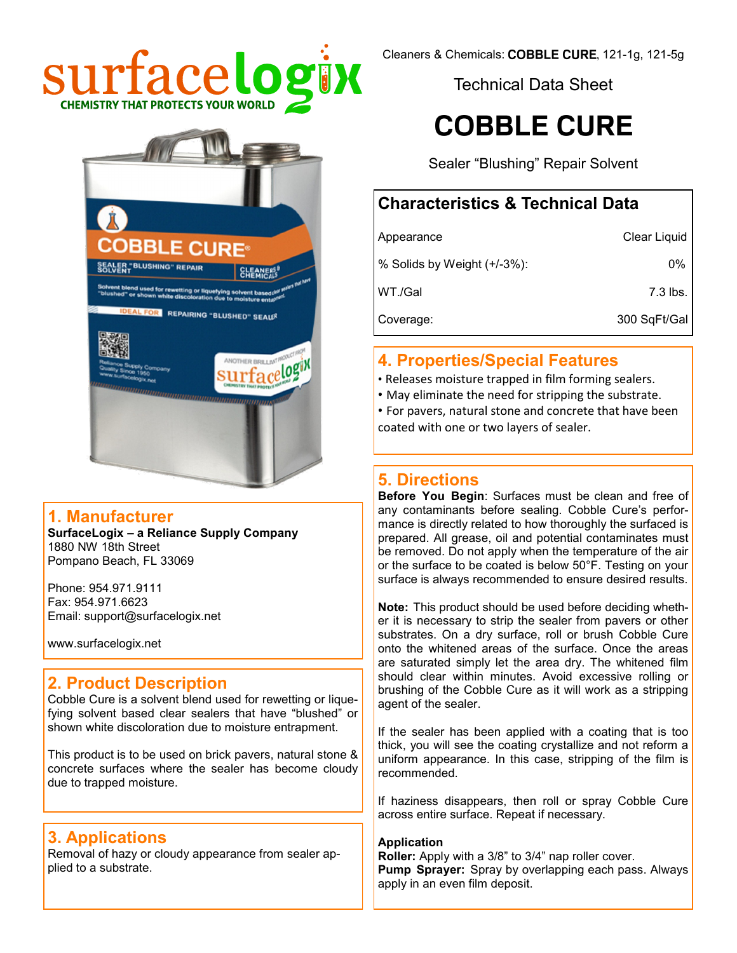



#### **1. Manufacturer**

**SurfaceLogix – a Reliance Supply Company** 1880 NW 18th Street Pompano Beach, FL 33069

Phone: 954.971.9111 Fax: 954.971.6623 Email: support@surfacelogix.net

www.surfacelogix.net

#### **2. Product Description**

Cobble Cure is a solvent blend used for rewetting or liquefying solvent based clear sealers that have "blushed" or shown white discoloration due to moisture entrapment.

This product is to be used on brick pavers, natural stone & concrete surfaces where the sealer has become cloudy due to trapped moisture.

#### **3. Applications**

Removal of hazy or cloudy appearance from sealer applied to a substrate.

Cleaners & Chemicals: COBBLE CURE, 121-1g, 121-5g

Technical Data Sheet

# **COBBLE CURE**

Sealer "Blushing" Repair Solvent

# **Characteristics & Technical Data**

| Appearance                  | Clear Liquid |
|-----------------------------|--------------|
| % Solids by Weight (+/-3%): | $0\%$        |
| WT./Gal                     | 7.3 lbs.     |
| Coverage:                   | 300 SqFt/Gal |

## **4. Properties/Special Features**

- Releases moisture trapped in film forming sealers.
- May eliminate the need for stripping the substrate.
- For pavers, natural stone and concrete that have been coated with one or two layers of sealer.

### **5. Directions**

**Before You Begin**: Surfaces must be clean and free of any contaminants before sealing. Cobble Cure's performance is directly related to how thoroughly the surfaced is prepared. All grease, oil and potential contaminates must be removed. Do not apply when the temperature of the air or the surface to be coated is below 50°F. Testing on your surface is always recommended to ensure desired results.

**Note:** This product should be used before deciding whether it is necessary to strip the sealer from pavers or other substrates. On a dry surface, roll or brush Cobble Cure onto the whitened areas of the surface. Once the areas are saturated simply let the area dry. The whitened film should clear within minutes. Avoid excessive rolling or brushing of the Cobble Cure as it will work as a stripping agent of the sealer.

If the sealer has been applied with a coating that is too thick, you will see the coating crystallize and not reform a uniform appearance. In this case, stripping of the film is recommended.

If haziness disappears, then roll or spray Cobble Cure across entire surface. Repeat if necessary.

#### **Application**

**Roller:** Apply with a 3/8" to 3/4" nap roller cover. **Pump Sprayer:** Spray by overlapping each pass. Always apply in an even film deposit.